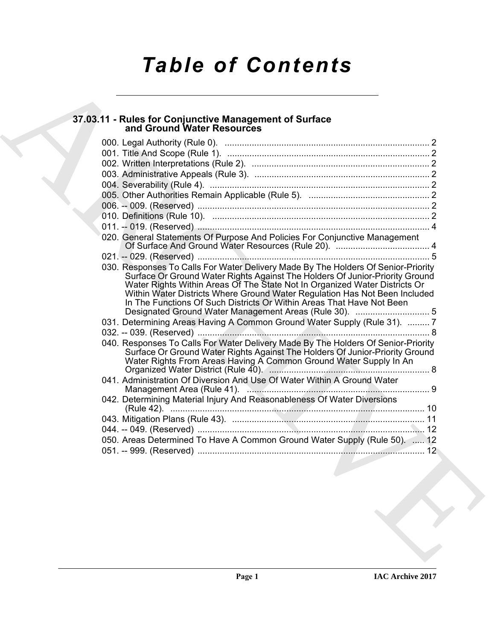# *Table of Contents*

# **37.03.11 - Rules for Conjunctive Management of Surface and Ground Water Resources**

| 020. General Statements Of Purpose And Policies For Conjunctive Management<br>030. Responses To Calls For Water Delivery Made By The Holders Of Senior-Priority<br>Water Rights Within Areas Of The State Not In Organized Water Districts Or<br>In The Functions Of Such Districts Or Within Areas That Have Not Been<br>031. Determining Areas Having A Common Ground Water Supply (Rule 31).  7<br>040. Responses To Calls For Water Delivery Made By The Holders Of Senior-Priority<br>Water Rights From Areas Having A Common Ground Water Supply In An<br>041. Administration Of Diversion And Use Of Water Within A Ground Water<br>042. Determining Material Injury And Reasonableness Of Water Diversions |                                                                                                                                                            |
|--------------------------------------------------------------------------------------------------------------------------------------------------------------------------------------------------------------------------------------------------------------------------------------------------------------------------------------------------------------------------------------------------------------------------------------------------------------------------------------------------------------------------------------------------------------------------------------------------------------------------------------------------------------------------------------------------------------------|------------------------------------------------------------------------------------------------------------------------------------------------------------|
|                                                                                                                                                                                                                                                                                                                                                                                                                                                                                                                                                                                                                                                                                                                    |                                                                                                                                                            |
|                                                                                                                                                                                                                                                                                                                                                                                                                                                                                                                                                                                                                                                                                                                    |                                                                                                                                                            |
|                                                                                                                                                                                                                                                                                                                                                                                                                                                                                                                                                                                                                                                                                                                    |                                                                                                                                                            |
|                                                                                                                                                                                                                                                                                                                                                                                                                                                                                                                                                                                                                                                                                                                    |                                                                                                                                                            |
|                                                                                                                                                                                                                                                                                                                                                                                                                                                                                                                                                                                                                                                                                                                    |                                                                                                                                                            |
|                                                                                                                                                                                                                                                                                                                                                                                                                                                                                                                                                                                                                                                                                                                    |                                                                                                                                                            |
|                                                                                                                                                                                                                                                                                                                                                                                                                                                                                                                                                                                                                                                                                                                    |                                                                                                                                                            |
|                                                                                                                                                                                                                                                                                                                                                                                                                                                                                                                                                                                                                                                                                                                    |                                                                                                                                                            |
|                                                                                                                                                                                                                                                                                                                                                                                                                                                                                                                                                                                                                                                                                                                    |                                                                                                                                                            |
|                                                                                                                                                                                                                                                                                                                                                                                                                                                                                                                                                                                                                                                                                                                    |                                                                                                                                                            |
|                                                                                                                                                                                                                                                                                                                                                                                                                                                                                                                                                                                                                                                                                                                    | Surface Or Ground Water Rights Against The Holders Of Junior-Priority Ground<br>Within Water Districts Where Ground Water Regulation Has Not Been Included |
|                                                                                                                                                                                                                                                                                                                                                                                                                                                                                                                                                                                                                                                                                                                    |                                                                                                                                                            |
|                                                                                                                                                                                                                                                                                                                                                                                                                                                                                                                                                                                                                                                                                                                    |                                                                                                                                                            |
|                                                                                                                                                                                                                                                                                                                                                                                                                                                                                                                                                                                                                                                                                                                    | Surface Or Ground Water Rights Against The Holders Of Junior-Priority Ground                                                                               |
|                                                                                                                                                                                                                                                                                                                                                                                                                                                                                                                                                                                                                                                                                                                    |                                                                                                                                                            |
|                                                                                                                                                                                                                                                                                                                                                                                                                                                                                                                                                                                                                                                                                                                    |                                                                                                                                                            |
|                                                                                                                                                                                                                                                                                                                                                                                                                                                                                                                                                                                                                                                                                                                    |                                                                                                                                                            |
|                                                                                                                                                                                                                                                                                                                                                                                                                                                                                                                                                                                                                                                                                                                    |                                                                                                                                                            |
|                                                                                                                                                                                                                                                                                                                                                                                                                                                                                                                                                                                                                                                                                                                    | 050. Areas Determined To Have A Common Ground Water Supply (Rule 50).  12                                                                                  |
|                                                                                                                                                                                                                                                                                                                                                                                                                                                                                                                                                                                                                                                                                                                    |                                                                                                                                                            |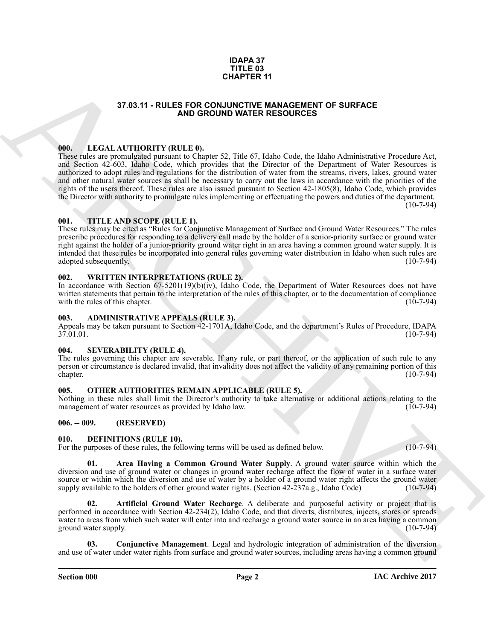## **IDAPA 37 TITLE 03 CHAPTER 11**

# **37.03.11 - RULES FOR CONJUNCTIVE MANAGEMENT OF SURFACE AND GROUND WATER RESOURCES**

# <span id="page-1-1"></span><span id="page-1-0"></span>**000. LEGAL AUTHORITY (RULE 0).**

**37.63.11 - RULES FOR CONJUNITY (EIT) 4.**<br> **CHAPTER 11**<br> **CHAPTER 12.21 AND GROUND WATER RESOURCES OF SURFACE**<br> **CHAPTER 12.41 AND MORTHAM IS A REPORT OF THE SURFACE OF SURFACE INTO A REPORT OF THE SURFACE OF THE SURFACE** These rules are promulgated pursuant to Chapter 52, Title 67, Idaho Code, the Idaho Administrative Procedure Act, and Section 42-603, Idaho Code, which provides that the Director of the Department of Water Resources is authorized to adopt rules and regulations for the distribution of water from the streams, rivers, lakes, ground water and other natural water sources as shall be necessary to carry out the laws in accordance with the priorities of the rights of the users thereof. These rules are also issued pursuant to Section 42-1805(8), Idaho Code, which provides the Director with authority to promulgate rules implementing or effectuating the powers and duties of the department.  $(10 - 7 - 94)$ 

## <span id="page-1-2"></span>**001. TITLE AND SCOPE (RULE 1).**

These rules may be cited as "Rules for Conjunctive Management of Surface and Ground Water Resources." The rules prescribe procedures for responding to a delivery call made by the holder of a senior-priority surface or ground water right against the holder of a junior-priority ground water right in an area having a common ground water supply. It is intended that these rules be incorporated into general rules governing water distribution in Idaho when such rules are adopted subsequently. (10-7-94)

# <span id="page-1-3"></span>**002. WRITTEN INTERPRETATIONS (RULE 2).**

In accordance with Section  $67-5201(19)(b)(iv)$ , Idaho Code, the Department of Water Resources does not have written statements that pertain to the interpretation of the rules of this chapter, or to the documentation of compliance<br>with the rules of this chapter. (10-7-94) with the rules of this chapter.

# <span id="page-1-4"></span>**003. ADMINISTRATIVE APPEALS (RULE 3).**

Appeals may be taken pursuant to Section 42-1701A, Idaho Code, and the department's Rules of Procedure, IDAPA  $37.01.01.$  (10-7-94)

## <span id="page-1-5"></span>**004. SEVERABILITY (RULE 4).**

The rules governing this chapter are severable. If any rule, or part thereof, or the application of such rule to any person or circumstance is declared invalid, that invalidity does not affect the validity of any remaining portion of this chapter. (10-7-94)

# <span id="page-1-6"></span>**005. OTHER AUTHORITIES REMAIN APPLICABLE (RULE 5).**

Nothing in these rules shall limit the Director's authority to take alternative or additional actions relating to the management of water resources as provided by Idaho law. (10-7-94)

# <span id="page-1-7"></span>**006. -- 009. (RESERVED)**

## <span id="page-1-9"></span><span id="page-1-8"></span>**010. DEFINITIONS (RULE 10).**

For the purposes of these rules, the following terms will be used as defined below. (10-7-94)

<span id="page-1-10"></span>**01. Area Having a Common Ground Water Supply**. A ground water source within which the diversion and use of ground water or changes in ground water recharge affect the flow of water in a surface water source or within which the diversion and use of water by a holder of a ground water right affects the ground water supply available to the holders of other ground water rights. (Section 42-237a.g., Idaho Code) (10-7-94)

<span id="page-1-11"></span>**02. Artificial Ground Water Recharge**. A deliberate and purposeful activity or project that is performed in accordance with Section 42-234(2), Idaho Code, and that diverts, distributes, injects, stores or spreads water to areas from which such water will enter into and recharge a ground water source in an area having a common ground water supply. (10-7-94) ground water supply.

<span id="page-1-12"></span>**03. Conjunctive Management**. Legal and hydrologic integration of administration of the diversion and use of water under water rights from surface and ground water sources, including areas having a common ground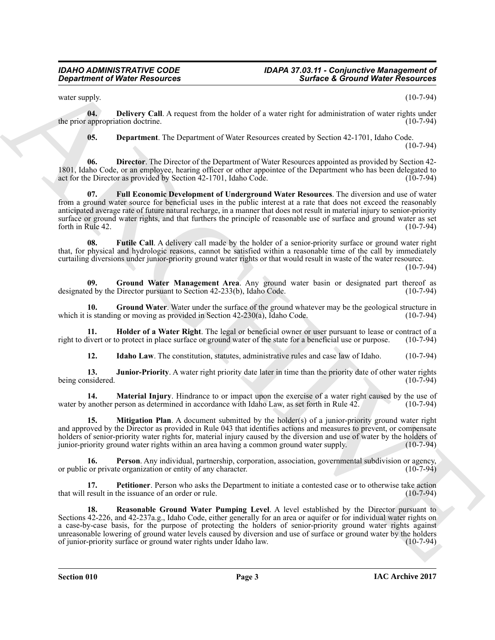water supply. (10-7-94)

**04. Delivery Call**. A request from the holder of a water right for administration of water rights under appropriation doctrine. (10-7-94) the prior appropriation doctrine.

<span id="page-2-3"></span><span id="page-2-2"></span><span id="page-2-1"></span><span id="page-2-0"></span>**05. Department**. The Department of Water Resources created by Section 42-1701, Idaho Code.  $(10-7-94)$ 

**06. Director**. The Director of the Department of Water Resources appointed as provided by Section 42- 1801, Idaho Code, or an employee, hearing officer or other appointee of the Department who has been delegated to act for the Director as provided by Section 42-1701, Idaho Code. (10-7-94) act for the Director as provided by Section 42-1701, Idaho Code.

**Considered of Nicker Resources**<br>
Significant device the state of a state entropy of the state entropy in the state of a state of a state of a state of a state of a state of a state of a state of a state of a state of a s **07. Full Economic Development of Underground Water Resources**. The diversion and use of water from a ground water source for beneficial uses in the public interest at a rate that does not exceed the reasonably anticipated average rate of future natural recharge, in a manner that does not result in material injury to senior-priority surface or ground water rights, and that furthers the principle of reasonable use of surface and ground water as set forth in Rule 42. (10-7-94) forth in Rule  $42$ .

<span id="page-2-4"></span>**08. Futile Call**. A delivery call made by the holder of a senior-priority surface or ground water right that, for physical and hydrologic reasons, cannot be satisfied within a reasonable time of the call by immediately curtailing diversions under junior-priority ground water rights or that would result in waste of the water resource.

 $(10-7-94)$ 

<span id="page-2-6"></span>**09. Ground Water Management Area**. Any ground water basin or designated part thereof as designated by the Director pursuant to Section 42-233(b), Idaho Code. (10-7-94)

<span id="page-2-5"></span>**10.** Ground Water. Water under the surface of the ground whatever may be the geological structure in is standing or moving as provided in Section 42-230(a), Idaho Code. (10-7-94) which it is standing or moving as provided in Section  $42-230(a)$ , Idaho Code.

**11. IDI Holder of a Water Right**. The legal or beneficial owner or user pursuant to lease or contract of a livert or to protect in place surface or ground water of the state for a beneficial use or purpose. (10-7-94) right to divert or to protect in place surface or ground water of the state for a beneficial use or purpose.

<span id="page-2-10"></span><span id="page-2-9"></span><span id="page-2-8"></span><span id="page-2-7"></span>**12.** Idaho Law. The constitution, statutes, administrative rules and case law of Idaho. (10-7-94)

**13. Junior-Priority**. A water right priority date later in time than the priority date of other water rights nsidered. (10-7-94) being considered.

**14. Material Injury**. Hindrance to or impact upon the exercise of a water right caused by the use of another person as determined in accordance with Idaho Law, as set forth in Rule 42. (10-7-94) water by another person as determined in accordance with Idaho Law, as set forth in Rule 42.

<span id="page-2-11"></span>**15. Mitigation Plan**. A document submitted by the holder(s) of a junior-priority ground water right and approved by the Director as provided in Rule 043 that identifies actions and measures to prevent, or compensate holders of senior-priority water rights for, material injury caused by the diversion and use of water by the holders of junior-priority ground water rights within an area having a common ground water supply. (10-7-94) junior-priority ground water rights within an area having a common ground water supply.

<span id="page-2-12"></span>**16. Person**. Any individual, partnership, corporation, association, governmental subdivision or agency, or private organization or entity of any character. (10-7-94) or public or private organization or entity of any character.

<span id="page-2-13"></span>**17. Petitioner**. Person who asks the Department to initiate a contested case or to otherwise take action result in the issuance of an order or rule. (10-7-94) that will result in the issuance of an order or rule.

<span id="page-2-14"></span>**18. Reasonable Ground Water Pumping Level**. A level established by the Director pursuant to Sections 42-226, and 42-237a.g., Idaho Code, either generally for an area or aquifer or for individual water rights on a case-by-case basis, for the purpose of protecting the holders of senior-priority ground water rights against unreasonable lowering of ground water levels caused by diversion and use of surface or ground water by the holders of junior-priority surface or ground water rights under Idaho law. (10-7-94) of junior-priority surface or ground water rights under Idaho law.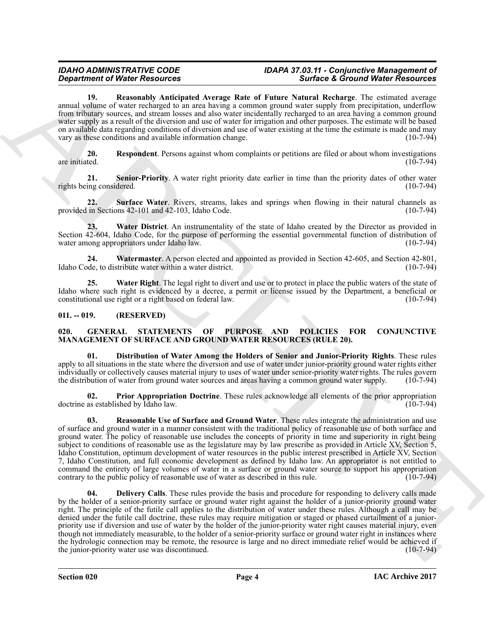<span id="page-3-2"></span>**19. Reasonably Anticipated Average Rate of Future Natural Recharge**. The estimated average annual volume of water recharged to an area having a common ground water supply from precipitation, underflow from tributary sources, and stream losses and also water incidentally recharged to an area having a common ground water supply as a result of the diversion and use of water for irrigation and other purposes. The estimate will be based on available data regarding conditions of diversion and use of water existing at the time the estimate is made and may vary as these conditions and available information change.

<span id="page-3-3"></span>**20.** Respondent. Persons against whom complaints or petitions are filed or about whom investigations are initiated. (10-7-94) are initiated. (10-7-94)

<span id="page-3-4"></span>**21.** Senior-Priority. A water right priority date earlier in time than the priority dates of other water ing considered. (10-7-94) rights being considered.

<span id="page-3-5"></span>**22. Surface Water**. Rivers, streams, lakes and springs when flowing in their natural channels as provided in Sections 42-101 and 42-103, Idaho Code. (10-7-94)

<span id="page-3-6"></span>**23. Water District**. An instrumentality of the state of Idaho created by the Director as provided in Section 42-604, Idaho Code, for the purpose of performing the essential governmental function of distribution of water among appropriators under Idaho law. (10-7-94)

<span id="page-3-8"></span>**24. Watermaster**. A person elected and appointed as provided in Section 42-605, and Section 42-801, Idaho Code, to distribute water within a water district.

<span id="page-3-7"></span>**25. Water Right**. The legal right to divert and use or to protect in place the public waters of the state of Idaho where such right is evidenced by a decree, a permit or license issued by the Department, a beneficial or constitutional use right or a right based on federal law. constitutional use right or a right based on federal law.

# <span id="page-3-0"></span>**011. -- 019. (RESERVED)**

# <span id="page-3-9"></span><span id="page-3-1"></span>**020. GENERAL STATEMENTS OF PURPOSE AND POLICIES FOR CONJUNCTIVE MANAGEMENT OF SURFACE AND GROUND WATER RESOURCES (RULE 20).**

<span id="page-3-11"></span>**01. Distribution of Water Among the Holders of Senior and Junior-Priority Rights**. These rules apply to all situations in the state where the diversion and use of water under junior-priority ground water rights either individually or collectively causes material injury to uses of water under senior-priority water rights. The rules govern<br>the distribution of water from ground water sources and areas having a common ground water supply. ( the distribution of water from ground water sources and areas having a common ground water supply.

<span id="page-3-12"></span>**02. Prior Appropriation Doctrine**. These rules acknowledge all elements of the prior appropriation as established by Idaho law. (10-7-94) doctrine as established by Idaho law.

<span id="page-3-13"></span><span id="page-3-10"></span>**03. Reasonable Use of Surface and Ground Water**. These rules integrate the administration and use of surface and ground water in a manner consistent with the traditional policy of reasonable use of both surface and ground water. The policy of reasonable use includes the concepts of priority in time and superiority in right being subject to conditions of reasonable use as the legislature may by law prescribe as provided in Article XV, Section 5, Idaho Constitution, optimum development of water resources in the public interest prescribed in Article XV, Section 7, Idaho Constitution, and full economic development as defined by Idaho law. An appropriator is not entitled to command the entirety of large volumes of water in a surface or ground water source to support his appropriation contrary to the public policy of reasonable use of water as described in this rule. (10-7-94)

ARCHIVE **Delivery Calls**. These rules provide the basis and procedure for responding to delivery calls made by the holder of a senior-priority surface or ground water right against the holder of a junior-priority ground water right. The principle of the futile call applies to the distribution of water under these rules. Although a call may be denied under the futile call doctrine, these rules may require mitigation or staged or phased curtailment of a juniorpriority use if diversion and use of water by the holder of the junior-priority water right causes material injury, even though not immediately measurable, to the holder of a senior-priority surface or ground water right in instances where the hydrologic connection may be remote, the resource is large and no direct immediate relief would be achieved if<br>the junior-priority water use was discontinued. (10-7-94) the junior-priority water use was discontinued.

**Section 020 Page 4**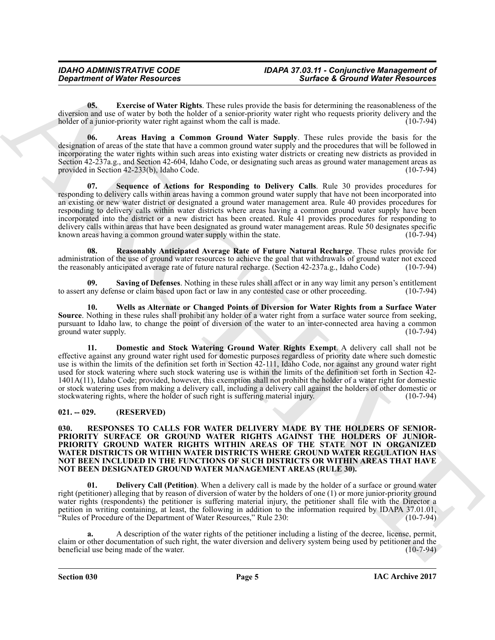<span id="page-4-4"></span>**05. Exercise of Water Rights**. These rules provide the basis for determining the reasonableness of the diversion and use of water by both the holder of a senior-priority water right who requests priority delivery and the holder of a junior-priority water right against whom the call is made. (10-7-94) holder of a junior-priority water right against whom the call is made.

<span id="page-4-2"></span>**06. Areas Having a Common Ground Water Supply**. These rules provide the basis for the designation of areas of the state that have a common ground water supply and the procedures that will be followed in incorporating the water rights within such areas into existing water districts or creating new districts as provided in Section 42-237a.g., and Section 42-604, Idaho Code, or designating such areas as ground water management areas as provided in Section 42-233(b), Idaho Code. (10-7-94)

<span id="page-4-7"></span>**07. Sequence of Actions for Responding to Delivery Calls**. Rule 30 provides procedures for responding to delivery calls within areas having a common ground water supply that have not been incorporated into an existing or new water district or designated a ground water management area. Rule 40 provides procedures for responding to delivery calls within water districts where areas having a common ground water supply have been incorporated into the district or a new district has been created. Rule 41 provides procedures for responding to delivery calls within areas that have been designated as ground water management areas. Rule 50 designates specific<br>known areas having a common ground water supply within the state. known areas having a common ground water supply within the state.

<span id="page-4-5"></span>**08. Reasonably Anticipated Average Rate of Future Natural Recharge**. These rules provide for administration of the use of ground water resources to achieve the goal that withdrawals of ground water not exceed<br>the reasonably anticipated average rate of future natural recharge. (Section 42-237a.g., Idaho Code) (10-7 the reasonably anticipated average rate of future natural recharge. (Section 42-237a.g., Idaho Code)

<span id="page-4-6"></span>**09.** Saving of Defenses. Nothing in these rules shall affect or in any way limit any person's entitlement any defense or claim based upon fact or law in any contested case or other proceeding. (10-7-94) to assert any defense or claim based upon fact or law in any contested case or other proceeding.

<span id="page-4-8"></span><span id="page-4-3"></span>**10. Wells as Alternate or Changed Points of Diversion for Water Rights from a Surface Water Source**. Nothing in these rules shall prohibit any holder of a water right from a surface water source from seeking, pursuant to Idaho law, to change the point of diversion of the water to an inter-connected area having a common ground water supply.

ARCHIVE **11. Domestic and Stock Watering Ground Water Rights Exempt**. A delivery call shall not be effective against any ground water right used for domestic purposes regardless of priority date where such domestic use is within the limits of the definition set forth in Section 42-111, Idaho Code, nor against any ground water right used for stock watering where such stock watering use is within the limits of the definition set forth in Section 42- 1401A(11), Idaho Code; provided, however, this exemption shall not prohibit the holder of a water right for domestic or stock watering uses from making a delivery call, including a delivery call against the holders of other domestic or stockwatering rights, where the holder of such right is suffering material injury. (10-7-94) stockwatering rights, where the holder of such right is suffering material injury.

# <span id="page-4-0"></span>**021. -- 029. (RESERVED)**

### <span id="page-4-9"></span><span id="page-4-1"></span>**030. RESPONSES TO CALLS FOR WATER DELIVERY MADE BY THE HOLDERS OF SENIOR-PRIORITY SURFACE OR GROUND WATER RIGHTS AGAINST THE HOLDERS OF JUNIOR-PRIORITY GROUND WATER RIGHTS WITHIN AREAS OF THE STATE NOT IN ORGANIZED WATER DISTRICTS OR WITHIN WATER DISTRICTS WHERE GROUND WATER REGULATION HAS NOT BEEN INCLUDED IN THE FUNCTIONS OF SUCH DISTRICTS OR WITHIN AREAS THAT HAVE NOT BEEN DESIGNATED GROUND WATER MANAGEMENT AREAS (RULE 30).**

<span id="page-4-10"></span>**01. Delivery Call (Petition)**. When a delivery call is made by the holder of a surface or ground water right (petitioner) alleging that by reason of diversion of water by the holders of one (1) or more junior-priority ground water rights (respondents) the petitioner is suffering material injury, the petitioner shall file with the Director a petition in writing containing, at least, the following in addition to the information required by IDAPA 37.01.01, "Rules of Procedure of the Department of Water Resources," Rule 230: (10-7-94)

**a.** A description of the water rights of the petitioner including a listing of the decree, license, permit, claim or other documentation of such right, the water diversion and delivery system being used by petitioner and the beneficial use being made of the water.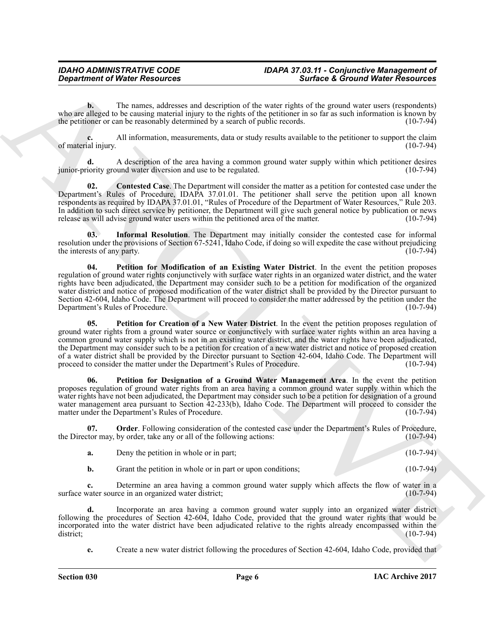**b.** The names, addresses and description of the water rights of the ground water users (respondents) who are alleged to be causing material injury to the rights of the petitioner in so far as such information is known by the petitioner or can be reasonably determined by a search of public records. (10-7-94) the petitioner or can be reasonably determined by a search of public records.

All information, measurements, data or study results available to the petitioner to support the claim (10-7-94) of material injury.

**d.** A description of the area having a common ground water supply within which petitioner desires junior-priority ground water diversion and use to be regulated. (10-7-94)

<span id="page-5-0"></span>**02. Contested Case**. The Department will consider the matter as a petition for contested case under the Department's Rules of Procedure, IDAPA 37.01.01. The petitioner shall serve the petition upon all known respondents as required by IDAPA 37.01.01, "Rules of Procedure of the Department of Water Resources," Rule 203. In addition to such direct service by petitioner, the Department will give such general notice by publication or news release as will advise ground water users within the petitioned area of the matter. (10-7-94) release as will advise ground water users within the petitioned area of the matter.

<span id="page-5-5"></span><span id="page-5-1"></span>**03. Informal Resolution**. The Department may initially consider the contested case for informal resolution under the provisions of Section 67-5241, Idaho Code, if doing so will expedite the case without prejudicing<br>the interests of any party. (10-7-94) the interests of any party.

**Consistencies of Nickel Resources** Surface 3. Surface 3. Geometric Neuron Weiler Resources<br>
The main interaction and decrease the constraints of the set ratio is a surface of the set of the set of the set of the set of t **04. Petition for Modification of an Existing Water District**. In the event the petition proposes regulation of ground water rights conjunctively with surface water rights in an organized water district, and the water rights have been adjudicated, the Department may consider such to be a petition for modification of the organized water district and notice of proposed modification of the water district shall be provided by the Director pursuant to Section 42-604, Idaho Code. The Department will proceed to consider the matter addressed by the petition under the Department's Rules of Procedure. (10-7-94) Department's Rules of Procedure.

<span id="page-5-3"></span>Petition for Creation of a New Water District. In the event the petition proposes regulation of ground water rights from a ground water source or conjunctively with surface water rights within an area having a common ground water supply which is not in an existing water district, and the water rights have been adjudicated, the Department may consider such to be a petition for creation of a new water district and notice of proposed creation of a water district shall be provided by the Director pursuant to Section 42-604, Idaho Code. The Department will proceed to consider the matter under the Department's Rules of Procedure. (10-7-94)

<span id="page-5-4"></span>**06. Petition for Designation of a Ground Water Management Area**. In the event the petition proposes regulation of ground water rights from an area having a common ground water supply within which the water rights have not been adjudicated, the Department may consider such to be a petition for designation of a ground water management area pursuant to Section 42-233(b), Idaho Code. The Department will proceed to consider the matter under the Department's Rules of Procedure. (10-7-94) matter under the Department's Rules of Procedure.

**07. Order**. Following consideration of the contested case under the Department's Rules of Procedure, the Director may, by order, take any or all of the following actions: (10-7-94)

<span id="page-5-2"></span>

| Deny the petition in whole or in part;<br>a. |  | $(10-7-94)$ |
|----------------------------------------------|--|-------------|
|----------------------------------------------|--|-------------|

**b.** Grant the petition in whole or in part or upon conditions; (10-7-94)

**c.** Determine an area having a common ground water supply which affects the flow of water in a vater source in an organized water district; (10-7-94) surface water source in an organized water district;

**d.** Incorporate an area having a common ground water supply into an organized water district following the procedures of Section 42-604, Idaho Code, provided that the ground water rights that would be incorporated into the water district have been adjudicated relative to the rights already encompassed within the district;  $(10-7-94)$ 

**e.** Create a new water district following the procedures of Section 42-604, Idaho Code, provided that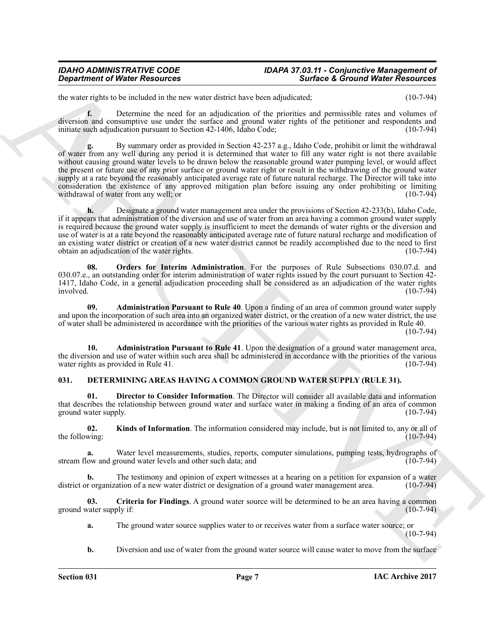the water rights to be included in the new water district have been adjudicated; (10-7-94)

**f.** Determine the need for an adjudication of the priorities and permissible rates and volumes of diversion and consumptive use under the surface and ground water rights of the petitioner and respondents and initiate such adjudication pursuant to Section 42-1406, Idaho Code; (10-7-94)

**Expansion of Water Resources**<br>
Revise and the technology and the state of the state of the state of the state of the state of the state of the state of the state of the state of the state of the state of the state of the **g.** By summary order as provided in Section 42-237 a.g., Idaho Code, prohibit or limit the withdrawal of water from any well during any period it is determined that water to fill any water right is not there available without causing ground water levels to be drawn below the reasonable ground water pumping level, or would affect the present or future use of any prior surface or ground water right or result in the withdrawing of the ground water supply at a rate beyond the reasonably anticipated average rate of future natural recharge. The Director will take into consideration the existence of any approved mitigation plan before issuing any order prohibiting or limiting withdrawal of water from any well: or (10-7-94) withdrawal of water from any well; or

**h.** Designate a ground water management area under the provisions of Section 42-233(b), Idaho Code, if it appears that administration of the diversion and use of water from an area having a common ground water supply is required because the ground water supply is insufficient to meet the demands of water rights or the diversion and use of water is at a rate beyond the reasonably anticipated average rate of future natural recharge and modification of an existing water district or creation of a new water district cannot be readily accomplished due to the need to first obtain an adjudication of the water rights. (10-7-94) obtain an adjudication of the water rights.

<span id="page-6-7"></span>**08. Orders for Interim Administration**. For the purposes of Rule Subsections 030.07.d. and 030.07.e., an outstanding order for interim administration of water rights issued by the court pursuant to Section 42- 1417, Idaho Code, in a general adjudication proceeding shall be considered as an adjudication of the water rights  $involved.$  (10-7-94)

<span id="page-6-5"></span>**09. Administration Pursuant to Rule 40**. Upon a finding of an area of common ground water supply and upon the incorporation of such area into an organized water district, or the creation of a new water district, the use of water shall be administered in accordance with the priorities of the various water rights as provided in Rule 40.

 $(10-7-94)$ 

<span id="page-6-6"></span>**10. Administration Pursuant to Rule 41**. Upon the designation of a ground water management area, the diversion and use of water within such area shall be administered in accordance with the priorities of the various water rights as provided in Rule 41. (10-7-94)

# <span id="page-6-3"></span><span id="page-6-1"></span><span id="page-6-0"></span>**031. DETERMINING AREAS HAVING A COMMON GROUND WATER SUPPLY (RULE 31).**

**01. Director to Consider Information**. The Director will consider all available data and information that describes the relationship between ground water and surface water in making a finding of an area of common ground water supply. (10-7-94) ground water supply.

<span id="page-6-4"></span>**02. Kinds of Information**. The information considered may include, but is not limited to, any or all of wing: the following:

**a.** Water level measurements, studies, reports, computer simulations, pumping tests, hydrographs of ow and ground water levels and other such data: and (10-7-94) stream flow and ground water levels and other such data; and

**b.** The testimony and opinion of expert witnesses at a hearing on a petition for expansion of a water r organization of a new water district or designation of a ground water management area. (10-7-94) district or organization of a new water district or designation of a ground water management area.

**03. Criteria for Findings**. A ground water source will be determined to be an area having a common ground water supply if:  $(10-7-94)$ 

<span id="page-6-2"></span>**a.** The ground water source supplies water to or receives water from a surface water source; or  $(10 - 7 - 94)$ 

**b.** Diversion and use of water from the ground water source will cause water to move from the surface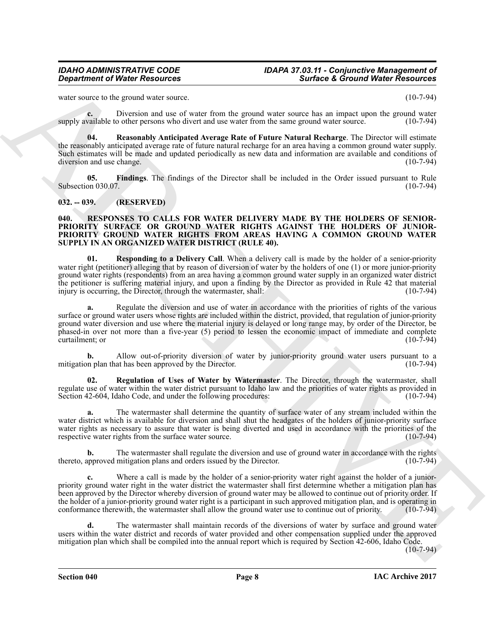water source to the ground water source. (10-7-94)

**c.** Diversion and use of water from the ground water source has an impact upon the ground water supply available to other persons who divert and use water from the same ground water source. (10-7-94)

<span id="page-7-3"></span>**04. Reasonably Anticipated Average Rate of Future Natural Recharge**. The Director will estimate the reasonably anticipated average rate of future natural recharge for an area having a common ground water supply. Such estimates will be made and updated periodically as new data and information are available and conditions of diversion and use change. (10-7-94) diversion and use change.

<span id="page-7-2"></span>**05. Findings**. The findings of the Director shall be included in the Order issued pursuant to Rule Subsection 030.07.

<span id="page-7-0"></span>**032. -- 039. (RESERVED)**

### <span id="page-7-6"></span><span id="page-7-4"></span><span id="page-7-1"></span>**040. RESPONSES TO CALLS FOR WATER DELIVERY MADE BY THE HOLDERS OF SENIOR-PRIORITY SURFACE OR GROUND WATER RIGHTS AGAINST THE HOLDERS OF JUNIOR-PRIORITY GROUND WATER RIGHTS FROM AREAS HAVING A COMMON GROUND WATER SUPPLY IN AN ORGANIZED WATER DISTRICT (RULE 40).**

**Sometimes of Water Resources**<br>
State of Sometimes of Sometimes of Sometimes of Sometimes of Sometimes of Sometimes of Sometimes of the Source of the Source of the Source of the Source of the Source of the Source of the S **01. Responding to a Delivery Call**. When a delivery call is made by the holder of a senior-priority water right (petitioner) alleging that by reason of diversion of water by the holders of one (1) or more junior-priority ground water rights (respondents) from an area having a common ground water supply in an organized water district the petitioner is suffering material injury, and upon a finding by the Director as provided in Rule 42 that material injury is occurring, the Director, through the watermaster, shall: (10-7-94) injury is occurring, the Director, through the watermaster, shall:

**a.** Regulate the diversion and use of water in accordance with the priorities of rights of the various surface or ground water users whose rights are included within the district, provided, that regulation of junior-priority ground water diversion and use where the material injury is delayed or long range may, by order of the Director, be phased-in over not more than a five-year (5) period to lessen the economic impact of immediate and complete curtailment; or

**b.** Allow out-of-priority diversion of water by junior-priority ground water users pursuant to a mitigation plan that has been approved by the Director. (10-7-94)

<span id="page-7-5"></span>**02. Regulation of Uses of Water by Watermaster**. The Director, through the watermaster, shall regulate use of water within the water district pursuant to Idaho law and the priorities of water rights as provided in Section 42-604, Idaho Code, and under the following procedures: (10-7-94) Section 42-604, Idaho Code, and under the following procedures:

**a.** The watermaster shall determine the quantity of surface water of any stream included within the water district which is available for diversion and shall shut the headgates of the holders of junior-priority surface water rights as necessary to assure that water is being diverted and used in accordance with the priorities of the respective water rights from the surface water source. (10-7-94)

**b.** The watermaster shall regulate the diversion and use of ground water in accordance with the rights approved mitigation plans and orders issued by the Director. (10-7-94) thereto, approved mitigation plans and orders issued by the Director.

Where a call is made by the holder of a senior-priority water right against the holder of a juniorpriority ground water right in the water district the watermaster shall first determine whether a mitigation plan has been approved by the Director whereby diversion of ground water may be allowed to continue out of priority order. If the holder of a junior-priority ground water right is a participant in such approved mitigation plan, and is operating in conformance therewith, the watermaster shall allow the ground water use to continue out of priority. (10-7-94)

**d.** The watermaster shall maintain records of the diversions of water by surface and ground water users within the water district and records of water provided and other compensation supplied under the approved mitigation plan which shall be compiled into the annual report which is required by Section 42-606, Idaho Code.

 $(10-7-94)$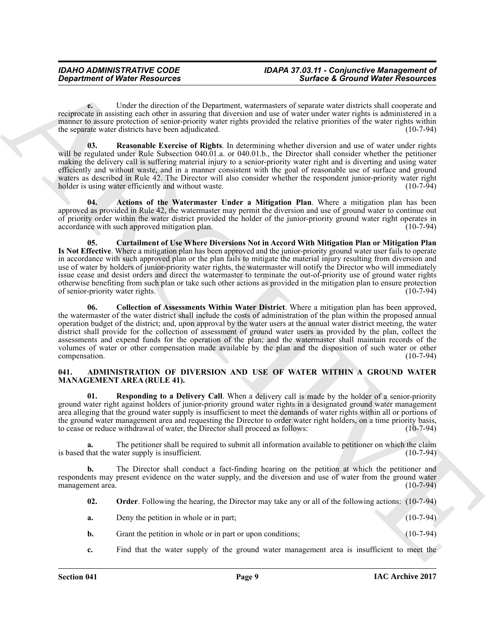**e.** Under the direction of the Department, watermasters of separate water districts shall cooperate and reciprocate in assisting each other in assuring that diversion and use of water under water rights is administered in a manner to assure protection of senior-priority water rights provided the relative priorities of the water rights within the separate water districts have been adjudicated. (10-7-94)

<span id="page-8-7"></span>**03. Reasonable Exercise of Rights**. In determining whether diversion and use of water under rights will be regulated under Rule Subsection 040.01.a. or 040.01.b., the Director shall consider whether the petitioner making the delivery call is suffering material injury to a senior-priority water right and is diverting and using water efficiently and without waste, and in a manner consistent with the goal of reasonable use of surface and ground waters as described in Rule 42. The Director will also consider whether the respondent junior-priority water right holder is using water efficiently and without waste. (10-7-94) holder is using water efficiently and without waste.

<span id="page-8-6"></span><span id="page-8-4"></span>**04. Actions of the Watermaster Under a Mitigation Plan**. Where a mitigation plan has been approved as provided in Rule 42, the watermaster may permit the diversion and use of ground water to continue out of priority order within the water district provided the holder of the junior-priority ground water right operates in accordance with such approved mitigation plan. (10-7-94) accordance with such approved mitigation plan.

**Constrainer of Ninter Resources** Surface A Ground Weiler Resources<br>
University constrainers of the constrainers of the product of Ninter Resources<br>
weight the constrainers and the product of Ninter Resources of the stres **05. Curtailment of Use Where Diversions Not in Accord With Mitigation Plan or Mitigation Plan Is Not Effective**. Where a mitigation plan has been approved and the junior-priority ground water user fails to operate in accordance with such approved plan or the plan fails to mitigate the material injury resulting from diversion and use of water by holders of junior-priority water rights, the watermaster will notify the Director who will immediately issue cease and desist orders and direct the watermaster to terminate the out-of-priority use of ground water rights otherwise benefiting from such plan or take such other actions as provided in the mitigation plan to ensure protection of senior-priority water rights.

<span id="page-8-5"></span>**06. Collection of Assessments Within Water District**. Where a mitigation plan has been approved, the watermaster of the water district shall include the costs of administration of the plan within the proposed annual operation budget of the district; and, upon approval by the water users at the annual water district meeting, the water district shall provide for the collection of assessment of ground water users as provided by the plan, collect the assessments and expend funds for the operation of the plan; and the watermaster shall maintain records of the volumes of water or other compensation made available by the plan and the disposition of such water or other compensation. (10-7-94) compensation.

# <span id="page-8-1"></span><span id="page-8-0"></span>**041. ADMINISTRATION OF DIVERSION AND USE OF WATER WITHIN A GROUND WATER MANAGEMENT AREA (RULE 41).**

<span id="page-8-3"></span>**01. Responding to a Delivery Call**. When a delivery call is made by the holder of a senior-priority ground water right against holders of junior-priority ground water rights in a designated ground water management area alleging that the ground water supply is insufficient to meet the demands of water rights within all or portions of the ground water management area and requesting the Director to order water right holders, on a time priority basis, to cease or reduce withdrawal of water, the Director shall proceed as follows: (10-7-94) to cease or reduce withdrawal of water, the Director shall proceed as follows:

**a.** The petitioner shall be required to submit all information available to petitioner on which the claim that the water supply is insufficient. (10-7-94) is based that the water supply is insufficient.

**b.** The Director shall conduct a fact-finding hearing on the petition at which the petitioner and respondents may present evidence on the water supply, and the diversion and use of water from the ground water management area. (10-7-94) management area.

<span id="page-8-2"></span>**02. Order**. Following the hearing, the Director may take any or all of the following actions: (10-7-94)

- **a.** Deny the petition in whole or in part; (10-7-94)
- **b.** Grant the petition in whole or in part or upon conditions; (10-7-94)
- **c.** Find that the water supply of the ground water management area is insufficient to meet the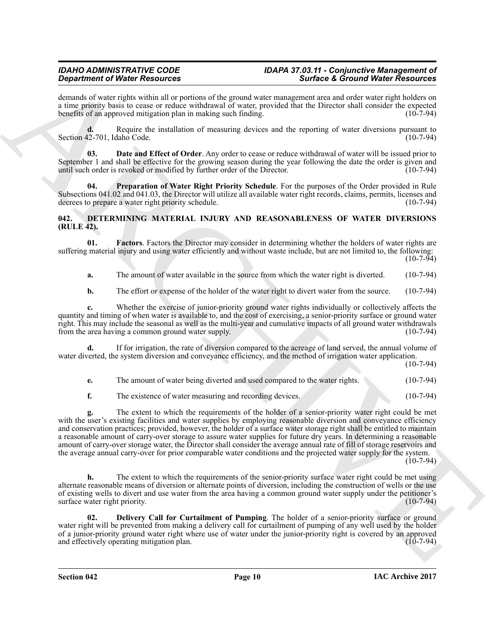demands of water rights within all or portions of the ground water management area and order water right holders on a time priority basis to cease or reduce withdrawal of water, provided that the Director shall consider the expected<br>benefits of an approved mitigation plan in making such finding. (10-7-94) benefits of an approved mitigation plan in making such finding.

**d.** Require the installation of measuring devices and the reporting of water diversions pursuant to  $12-701$ , Idaho Code. (10-7-94) Section 42-701, Idaho Code.

<span id="page-9-1"></span>**03. Date and Effect of Order**. Any order to cease or reduce withdrawal of water will be issued prior to September 1 and shall be effective for the growing season during the year following the date the order is given and until such order is revoked or modified by further order of the Director. (10-7-94)

<span id="page-9-2"></span>**04. Preparation of Water Right Priority Schedule**. For the purposes of the Order provided in Rule Subsections 041.02 and 041.03, the Director will utilize all available water right records, claims, permits, licenses and decrees to prepare a water right priority schedule. (10-7-94) decrees to prepare a water right priority schedule.

# <span id="page-9-3"></span><span id="page-9-0"></span>**042. DETERMINING MATERIAL INJURY AND REASONABLENESS OF WATER DIVERSIONS (RULE 42).**

**01. Factors**. Factors the Director may consider in determining whether the holders of water rights are suffering material injury and using water efficiently and without waste include, but are not limited to, the following:

(10-7-94)

<span id="page-9-5"></span>**a.** The amount of water available in the source from which the water right is diverted. (10-7-94)

**b.** The effort or expense of the holder of the water right to divert water from the source. (10-7-94)

**c.** Whether the exercise of junior-priority ground water rights individually or collectively affects the quantity and timing of when water is available to, and the cost of exercising, a senior-priority surface or ground water right. This may include the seasonal as well as the multi-year and cumulative impacts of all ground water withdrawals from the area having a common ground water supply. (10-7-94) from the area having a common ground water supply.

**d.** If for irrigation, the rate of diversion compared to the acreage of land served, the annual volume of water diverted, the system diversion and conveyance efficiency, and the method of irrigation water application.

 $(10-7-94)$ 

| The amount of water being diverted and used compared to the water rights. |  | $(10-7-94)$ |
|---------------------------------------------------------------------------|--|-------------|
|                                                                           |  |             |

**f.** The existence of water measuring and recording devices. (10-7-94)

**Signal from the View Resources** of the particle and state the state of *Charmeline Chief Resources* on the state of *Chief Resources* on the state of *Chief Resources* on the *Chief Resources* of *Chief Resources* on the **g.** The extent to which the requirements of the holder of a senior-priority water right could be met with the user's existing facilities and water supplies by employing reasonable diversion and conveyance efficiency and conservation practices; provided, however, the holder of a surface water storage right shall be entitled to maintain a reasonable amount of carry-over storage to assure water supplies for future dry years. In determining a reasonable amount of carry-over storage water, the Director shall consider the average annual rate of fill of storage reservoirs and the average annual carry-over for prior comparable water conditions and the projected water supply for the system.

 $(10-7-94)$ 

**h.** The extent to which the requirements of the senior-priority surface water right could be met using alternate reasonable means of diversion or alternate points of diversion, including the construction of wells or the use of existing wells to divert and use water from the area having a common ground water supply under the petitioner's surface water right priority. (10-7-94) surface water right priority.

<span id="page-9-4"></span>**02. Delivery Call for Curtailment of Pumping**. The holder of a senior-priority surface or ground water right will be prevented from making a delivery call for curtailment of pumping of any well used by the holder of a junior-priority ground water right where use of water under the junior-priority right is covered by an approved and effectively operating mitigation plan. and effectively operating mitigation plan.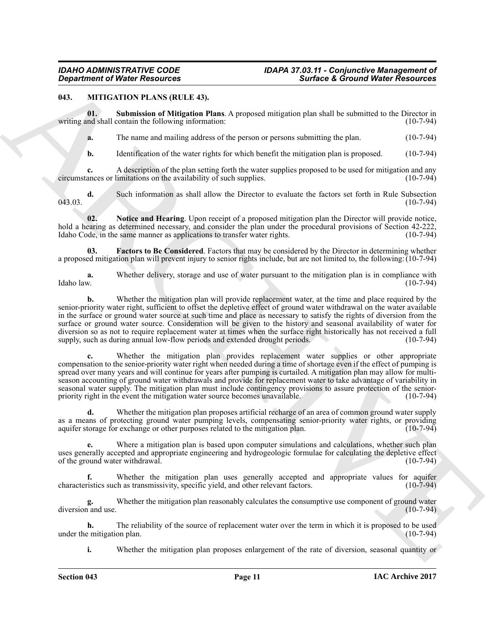# <span id="page-10-1"></span><span id="page-10-0"></span>**043. MITIGATION PLANS (RULE 43).**

**01. Submission of Mitigation Plans**. A proposed mitigation plan shall be submitted to the Director in writing and shall contain the following information:

<span id="page-10-4"></span>**a.** The name and mailing address of the person or persons submitting the plan.  $(10-7-94)$ 

**b.** Identification of the water rights for which benefit the mitigation plan is proposed. (10-7-94)

**c.** A description of the plan setting forth the water supplies proposed to be used for mitigation and any ances or limitations on the availability of such supplies. (10-7-94) circumstances or limitations on the availability of such supplies.

**d.** Such information as shall allow the Director to evaluate the factors set forth in Rule Subsection (10-7-94) 043.03. (10-7-94)

<span id="page-10-3"></span>**02. Notice and Hearing**. Upon receipt of a proposed mitigation plan the Director will provide notice, hold a hearing as determined necessary, and consider the plan under the procedural provisions of Section 42-222, Idaho Code, in the same manner as applications to transfer water rights. (10-7-94) Idaho Code, in the same manner as applications to transfer water rights.

<span id="page-10-2"></span>**03. Factors to Be Considered**. Factors that may be considered by the Director in determining whether a proposed mitigation plan will prevent injury to senior rights include, but are not limited to, the following: (10-7-94)

**a.** Whether delivery, storage and use of water pursuant to the mitigation plan is in compliance with Idaho law. (10-7-94) Idaho law. (10-7-94)

**Equivariant of Weiver Associates** Weiler Control to the state of Sound Weiler Associates<br>
Note that the state of the state of the state of the state of the state of the state of the state of the state of the state of the **b.** Whether the mitigation plan will provide replacement water, at the time and place required by the senior-priority water right, sufficient to offset the depletive effect of ground water withdrawal on the water available in the surface or ground water source at such time and place as necessary to satisfy the rights of diversion from the surface or ground water source. Consideration will be given to the history and seasonal availability of water for diversion so as not to require replacement water at times when the surface right historically has not received a full supply, such as during annual low-flow periods and extended drought periods. (10-7-94) supply, such as during annual low-flow periods and extended drought periods.

Whether the mitigation plan provides replacement water supplies or other appropriate compensation to the senior-priority water right when needed during a time of shortage even if the effect of pumping is spread over many years and will continue for years after pumping is curtailed. A mitigation plan may allow for multiseason accounting of ground water withdrawals and provide for replacement water to take advantage of variability in seasonal water supply. The mitigation plan must include contingency provisions to assure protection of the senior-<br>priority right in the event the mitigation water source becomes unavailable. (10-7-94) priority right in the event the mitigation water source becomes unavailable.

**d.** Whether the mitigation plan proposes artificial recharge of an area of common ground water supply as a means of protecting ground water pumping levels, compensating senior-priority water rights, or providing aquifer storage for exchange or other purposes related to the mitigation plan. (10-7-94) aquifer storage for exchange or other purposes related to the mitigation plan.

**e.** Where a mitigation plan is based upon computer simulations and calculations, whether such plan uses generally accepted and appropriate engineering and hydrogeologic formulae for calculating the depletive effect<br>of the ground water withdrawal. (10-7-94) of the ground water withdrawal.

**f.** Whether the mitigation plan uses generally accepted and appropriate values for aquifer characteristics such as transmissivity, specific yield, and other relevant factors. (10-7-94)

**g.** Whether the mitigation plan reasonably calculates the consumptive use component of ground water diversion and use. (10-7-94)

**h.** The reliability of the source of replacement water over the term in which it is proposed to be used remitigation plan. (10-7-94) under the mitigation plan.

**i.** Whether the mitigation plan proposes enlargement of the rate of diversion, seasonal quantity or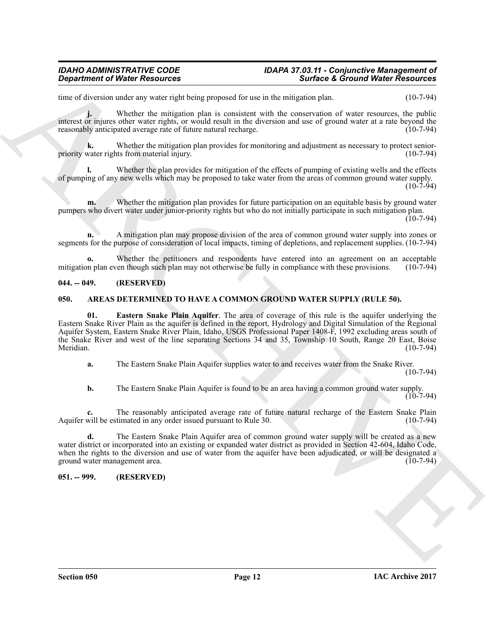time of diversion under any water right being proposed for use in the mitigation plan. (10-7-94)

Whether the mitigation plan is consistent with the conservation of water resources, the public interest or injures other water rights, or would result in the diversion and use of ground water at a rate beyond the reasonably anticipated average rate of future natural recharge. (10-7-94)

**k.** Whether the mitigation plan provides for monitoring and adjustment as necessary to protect senior-<br>water rights from material injury. (10-7-94) priority water rights from material injury.

**l.** Whether the plan provides for mitigation of the effects of pumping of existing wells and the effects of pumping of any new wells which may be proposed to take water from the areas of common ground water supply.  $(10-7-94)$ 

Whether the mitigation plan provides for future participation on an equitable basis by ground water pumpers who divert water under junior-priority rights but who do not initially participate in such mitigation plan.

 $(10-7-94)$ 

**n.** A mitigation plan may propose division of the area of common ground water supply into zones or segments for the purpose of consideration of local impacts, timing of depletions, and replacement supplies. (10-7-94)

Whether the petitioners and respondents have entered into an agreement on an acceptable en though such plan may not otherwise be fully in compliance with these provisions. (10-7-94) mitigation plan even though such plan may not otherwise be fully in compliance with these provisions.

# <span id="page-11-0"></span>**044. -- 049. (RESERVED)**

# <span id="page-11-4"></span><span id="page-11-3"></span><span id="page-11-1"></span>**050. AREAS DETERMINED TO HAVE A COMMON GROUND WATER SUPPLY (RULE 50).**

**Considered of Water Resources**<br>
Has the constant of the constant of the constant of the constant of the constant of the constant of the constant of the constant of the constant of the constant of the constant of the cons **01. Eastern Snake Plain Aquifer**. The area of coverage of this rule is the aquifer underlying the Eastern Snake River Plain as the aquifer is defined in the report, Hydrology and Digital Simulation of the Regional Aquifer System, Eastern Snake River Plain, Idaho, USGS Professional Paper 1408-F, 1992 excluding areas south of the Snake River and west of the line separating Sections 34 and 35, Township 10 South, Range 20 East, Boise<br>Meridian. (10-7-94) Meridian. (10-7-94)

**a.** The Eastern Snake Plain Aquifer supplies water to and receives water from the Snake River.

(10-7-94)

**b.** The Eastern Snake Plain Aquifer is found to be an area having a common ground water supply.  $(10-7-94)$ 

The reasonably anticipated average rate of future natural recharge of the Eastern Snake Plain timated in any order issued pursuant to Rule 30. (10-7-94) Aquifer will be estimated in any order issued pursuant to Rule 30.

**d.** The Eastern Snake Plain Aquifer area of common ground water supply will be created as a new water district or incorporated into an existing or expanded water district as provided in Section 42-604, Idaho Code, when the rights to the diversion and use of water from the aquifer have been adjudicated, or will be designated a ground water management area. (10-7-94) ground water management area.

<span id="page-11-2"></span>**051. -- 999. (RESERVED)**